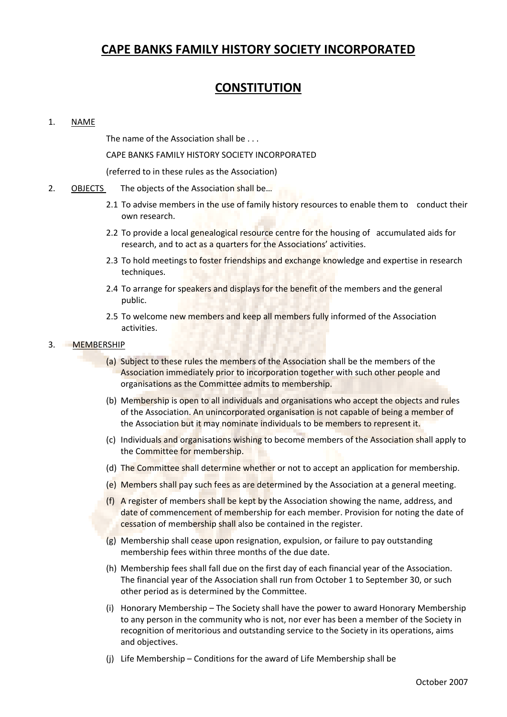# **CAPE BANKS FAMILY HISTORY SOCIETY INCORPORATED**

# **CONSTITUTION**

# 1. NAME

The name of the Association shall be . . .

CAPE BANKS FAMILY HISTORY SOCIETY INCORPORATED

(referred to in these rules as the Association)

- 2. OBJECTS The objects of the Association shall be...
	- 2.1 To advise members in the use of family history resources to enable them to conduct their own research.
	- 2.2 To provide a local genealogical resource centre for the housing of accumulated aids for research, and to act as a quarters for the Associations' activities.
	- 2.3 To hold meetings to foster friendships and exchange knowledge and expertise in research techniques.
	- 2.4 To arrange for speakers and displays for the benefit of the members and the general public.
	- 2.5 To welcome new members and keep all members fully informed of the Association activities.

# 3. MEMBERSHIP

- (a) Subject to these rules the members of the Association shall be the members of the Association immediately prior to incorporation together with such other people and organisations as the Committee admits to membership.
- (b) Membership is open to all individuals and organisations who accept the objects and rules of the Association. An unincorporated organisation is not capable of being a member of the Association but it may nominate individuals to be members to represent it.
- (c) Individuals and organisations wishing to become members of the Association shall apply to the Committee for membership.
- (d) The Committee shall determine whether or not to accept an application for membership.
- (e) Members shall pay such fees as are determined by the Association at a general meeting.
- (f) A register of members shall be kept by the Association showing the name, address, and date of commencement of membership for each member. Provision for noting the date of cessation of membership shall also be contained in the register.
- (g) Membership shall cease upon resignation, expulsion, or failure to pay outstanding membership fees within three months of the due date.
- (h) Membership fees shall fall due on the first day of each financial year of the Association. The financial year of the Association shall run from October 1 to September 30, or such other period as is determined by the Committee.
- (i) Honorary Membership The Society shall have the power to award Honorary Membership to any person in the community who is not, nor ever has been a member of the Society in recognition of meritorious and outstanding service to the Society in its operations, aims and objectives.
- (j) Life Membership Conditions for the award of Life Membership shall be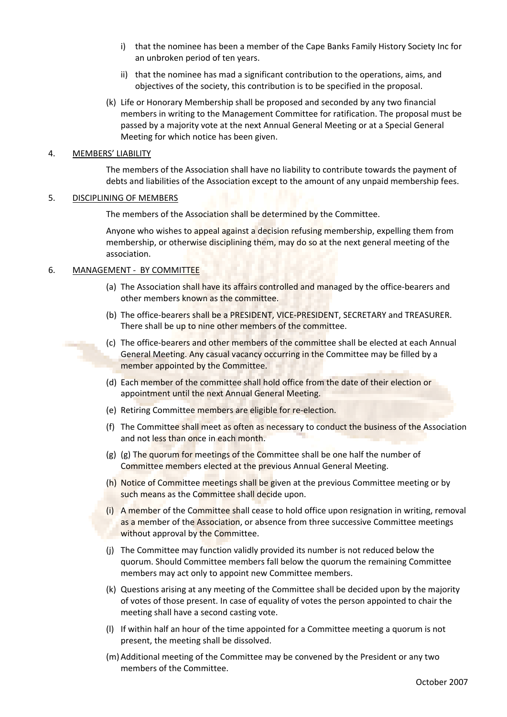- i) that the nominee has been a member of the Cape Banks Family History Society Inc for an unbroken period of ten years.
- ii) that the nominee has mad a significant contribution to the operations, aims, and objectives of the society, this contribution is to be specified in the proposal.
- (k) Life or Honorary Membership shall be proposed and seconded by any two financial members in writing to the Management Committee for ratification. The proposal must be passed by a majority vote at the next Annual General Meeting or at a Special General Meeting for which notice has been given.

#### 4. MEMBERS' LIABILITY

The members of the Association shall have no liability to contribute towards the payment of debts and liabilities of the Association except to the amount of any unpaid membership fees.

#### 5. DISCIPLINING OF MEMBERS

The members of the Association shall be determined by the Committee.

Anyone who wishes to appeal against a decision refusing membership, expelling them from membership, or otherwise disciplining them, may do so at the next general meeting of the association.

### 6. MANAGEMENT - BY COMMITTEE

- (a) The Association shall have its affairs controlled and managed by the office-bearers and other members known as the committee.
- (b) The office-bearers shall be a PRESIDENT, VICE-PRESIDENT, SECRETARY and TREASURER. There shall be up to nine other members of the committee.
- (c) The office-bearers and other members of the committee shall be elected at each Annual General Meeting. Any casual vacancy occurring in the Committee may be filled by a member appointed by the Committee.
- (d) Each member of the committee shall hold office from the date of their election or appointment until the next Annual General Meeting.
- (e) Retiring Committee members are eligible for re-election.
- (f) The Committee shall meet as often as necessary to conduct the business of the Association and not less than once in each month.
- (g) (g) The quorum for meetings of the Committee shall be one half the number of Committee members elected at the previous Annual General Meeting.
- (h) Notice of Committee meetings shall be given at the previous Committee meeting or by such means as the Committee shall decide upon.
- (i) A member of the Committee shall cease to hold office upon resignation in writing, removal as a member of the Association, or absence from three successive Committee meetings without approval by the Committee.
- (j) The Committee may function validly provided its number is not reduced below the quorum. Should Committee members fall below the quorum the remaining Committee members may act only to appoint new Committee members.
- (k) Questions arising at any meeting of the Committee shall be decided upon by the majority of votes of those present. In case of equality of votes the person appointed to chair the meeting shall have a second casting vote.
- (l) If within half an hour of the time appointed for a Committee meeting a quorum is not present, the meeting shall be dissolved.
- (m) Additional meeting of the Committee may be convened by the President or any two members of the Committee.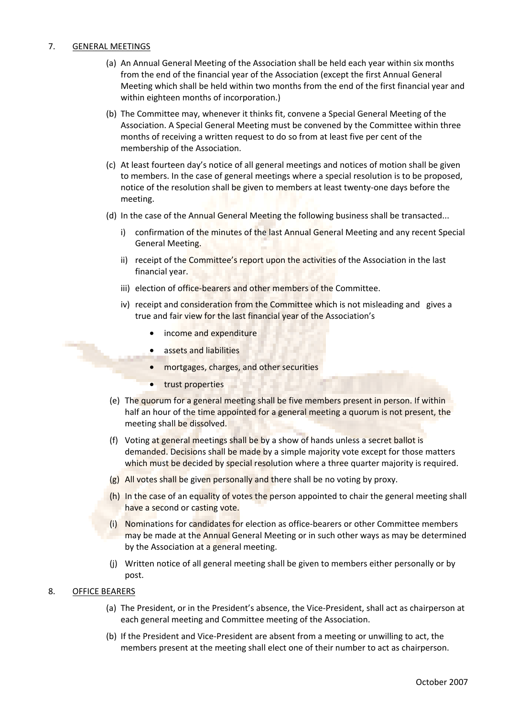#### 7. GENERAL MEETINGS

- (a) An Annual General Meeting of the Association shall be held each year within six months from the end of the financial year of the Association (except the first Annual General Meeting which shall be held within two months from the end of the first financial year and within eighteen months of incorporation.)
- (b) The Committee may, whenever it thinks fit, convene a Special General Meeting of the Association. A Special General Meeting must be convened by the Committee within three months of receiving a written request to do so from at least five per cent of the membership of the Association.
- (c) At least fourteen day's notice of all general meetings and notices of motion shall be given to members. In the case of general meetings where a special resolution is to be proposed, notice of the resolution shall be given to members at least twenty-one days before the meeting.
- (d) In the case of the Annual General Meeting the following business shall be transacted...
	- i) confirmation of the minutes of the last Annual General Meeting and any recent Special General Meeting.
	- ii) receipt of the Committee's report upon the activities of the Association in the last financial year.
	- iii) election of office-bearers and other members of the Committee.
	- iv) receipt and consideration from the Committee which is not misleading and gives a true and fair view for the last financial year of the Association's
		- income and expenditure
		- assets and liabilities
		- mortgages, charges, and other securities
		- trust properties
- (e) The quorum for a general meeting shall be five members present in person. If within half an hour of the time appointed for a general meeting a quorum is not present, the meeting shall be dissolved.
- (f) Voting at general meetings shall be by a show of hands unless a secret ballot is demanded. Decisions shall be made by a simple majority vote except for those matters which must be decided by special resolution where a three quarter majority is required.
- (g) All votes shall be given personally and there shall be no voting by proxy.
- (h) In the case of an equality of votes the person appointed to chair the general meeting shall have a second or casting vote.
- (i) Nominations for candidates for election as office-bearers or other Committee members may be made at the Annual General Meeting or in such other ways as may be determined by the Association at a general meeting.
- (j) Written notice of all general meeting shall be given to members either personally or by post.

#### 8. OFFICE BEARERS

- (a) The President, or in the President's absence, the Vice-President, shall act as chairperson at each general meeting and Committee meeting of the Association.
- (b) If the President and Vice-President are absent from a meeting or unwilling to act, the members present at the meeting shall elect one of their number to act as chairperson.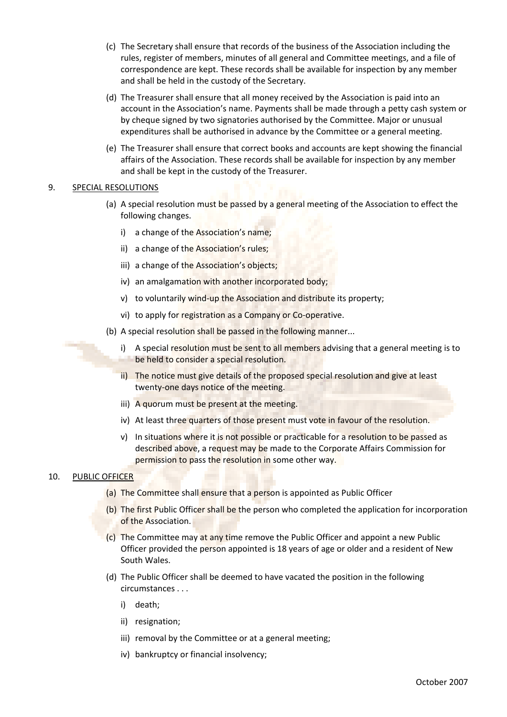- (c) The Secretary shall ensure that records of the business of the Association including the rules, register of members, minutes of all general and Committee meetings, and a file of correspondence are kept. These records shall be available for inspection by any member and shall be held in the custody of the Secretary.
- (d) The Treasurer shall ensure that all money received by the Association is paid into an account in the Association's name. Payments shall be made through a petty cash system or by cheque signed by two signatories authorised by the Committee. Major or unusual expenditures shall be authorised in advance by the Committee or a general meeting.
- (e) The Treasurer shall ensure that correct books and accounts are kept showing the financial affairs of the Association. These records shall be available for inspection by any member and shall be kept in the custody of the Treasurer.

# 9. SPECIAL RESOLUTIONS

- (a) A special resolution must be passed by a general meeting of the Association to effect the following changes.
	- i) a change of the Association's name;
	- ii) a change of the Association's rules;
	- iii) a change of the Association's objects;
	- iv) an amalgamation with another incorporated body;
	- v) to voluntarily wind-up the Association and distribute its property;
	- vi) to apply for registration as a Company or Co-operative.
- (b) A special resolution shall be passed in the following manner...
	- i) A special resolution must be sent to all members advising that a general meeting is to be held to consider a special resolution.
	- ii) The notice must give details of the proposed special resolution and give at least twenty-one days notice of the meeting.
	- iii) A quorum must be present at the meeting.
	- iv) At least three quarters of those present must vote in favour of the resolution.
	- v) In situations where it is not possible or practicable for a resolution to be passed as described above, a request may be made to the Corporate Affairs Commission for permission to pass the resolution in some other way.

### 10. PUBLIC OFFICER

- (a) The Committee shall ensure that a person is appointed as Public Officer
- (b) The first Public Officer shall be the person who completed the application for incorporation of the Association.
- (c) The Committee may at any time remove the Public Officer and appoint a new Public Officer provided the person appointed is 18 years of age or older and a resident of New South Wales.
- (d) The Public Officer shall be deemed to have vacated the position in the following circumstances . . .
	- i) death;
	- ii) resignation;
	- iii) removal by the Committee or at a general meeting;
	- iv) bankruptcy or financial insolvency;